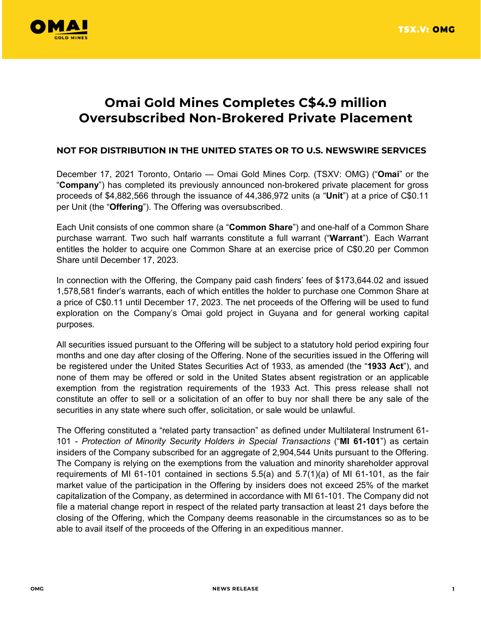

## **Omai Gold Mines Completes C\$4.9 million Oversubscribed Non-Brokered Private Placement**

## **NOT FOR DISTRIBUTION IN THE UNITED STATES OR TO U.S. NEWSWIRE SERVICES**

December 17, 2021 Toronto, Ontario — Omai Gold Mines Corp. (TSXV: OMG) ("**Omai**" or the "**Company**") has completed its previously announced non-brokered private placement for gross proceeds of \$4,882,566 through the issuance of 44,386,972 units (a "**Unit**") at a price of C\$0.11 per Unit (the "**Offering**"). The Offering was oversubscribed.

Each Unit consists of one common share (a "**Common Share**") and one-half of a Common Share purchase warrant. Two such half warrants constitute a full warrant ("**Warrant**"). Each Warrant entitles the holder to acquire one Common Share at an exercise price of C\$0.20 per Common Share until December 17, 2023.

In connection with the Offering, the Company paid cash finders' fees of \$173,644.02 and issued 1,578,581 finder's warrants, each of which entitles the holder to purchase one Common Share at a price of C\$0.11 until December 17, 2023. The net proceeds of the Offering will be used to fund exploration on the Company's Omai gold project in Guyana and for general working capital purposes.

All securities issued pursuant to the Offering will be subject to a statutory hold period expiring four months and one day after closing of the Offering. None of the securities issued in the Offering will be registered under the United States Securities Act of 1933, as amended (the "**1933 Act**"), and none of them may be offered or sold in the United States absent registration or an applicable exemption from the registration requirements of the 1933 Act. This press release shall not constitute an offer to sell or a solicitation of an offer to buy nor shall there be any sale of the securities in any state where such offer, solicitation, or sale would be unlawful.

The Offering constituted a "related party transaction" as defined under Multilateral Instrument 61- 101 - *Protection of Minority Security Holders in Special Transactions* ("**MI 61-101**") as certain insiders of the Company subscribed for an aggregate of 2,904,544 Units pursuant to the Offering. The Company is relying on the exemptions from the valuation and minority shareholder approval requirements of MI 61-101 contained in sections 5.5(a) and 5.7(1)(a) of MI 61-101, as the fair market value of the participation in the Offering by insiders does not exceed 25% of the market capitalization of the Company, as determined in accordance with MI 61-101. The Company did not file a material change report in respect of the related party transaction at least 21 days before the closing of the Offering, which the Company deems reasonable in the circumstances so as to be able to avail itself of the proceeds of the Offering in an expeditious manner.